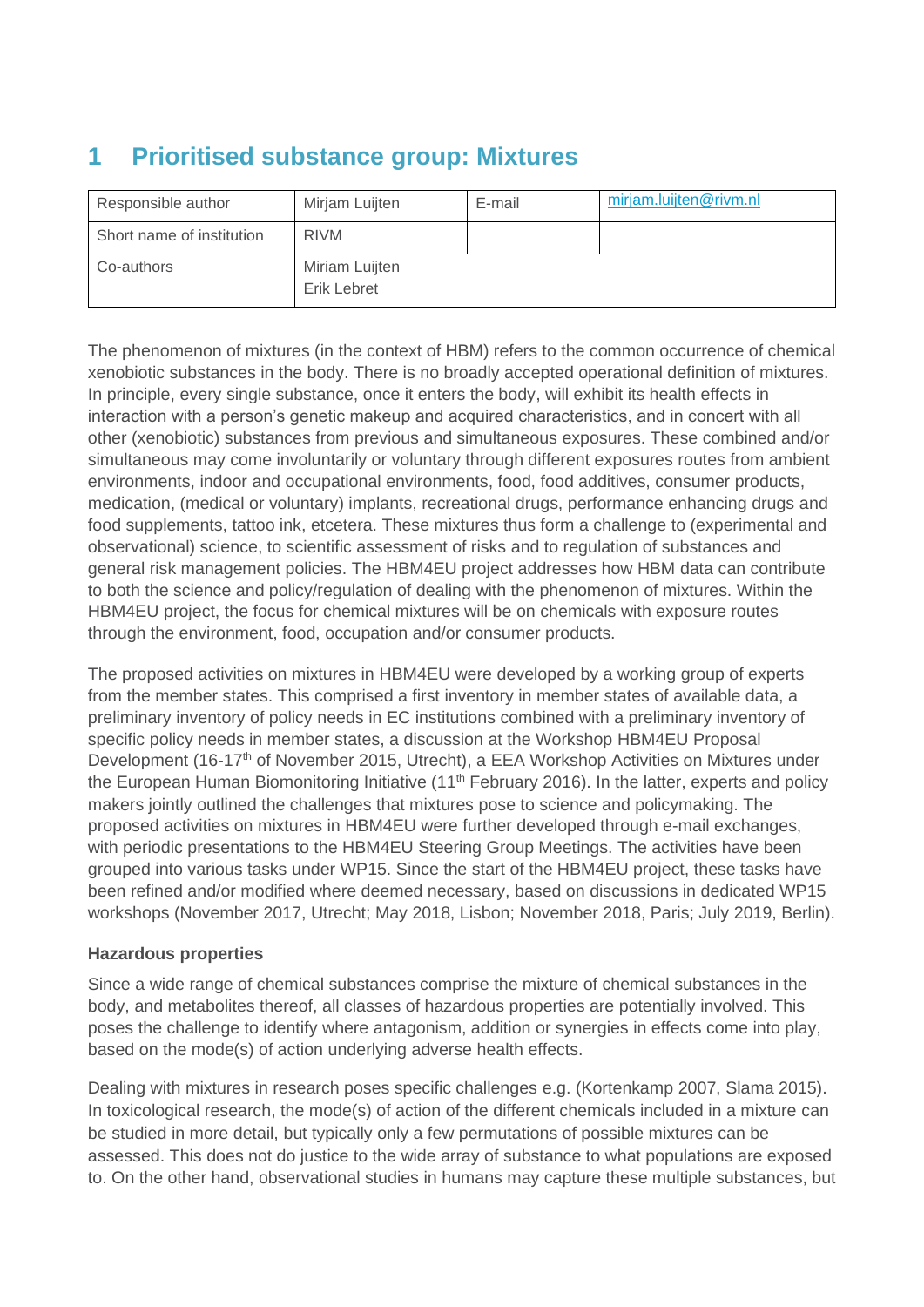# **1 Prioritised substance group: Mixtures**

| Responsible author        | Mirjam Luijten                | E-mail | mirjam.luijten@rivm.nl |
|---------------------------|-------------------------------|--------|------------------------|
| Short name of institution | <b>RIVM</b>                   |        |                        |
| Co-authors                | Miriam Luijten<br>Erik Lebret |        |                        |

The phenomenon of mixtures (in the context of HBM) refers to the common occurrence of chemical xenobiotic substances in the body. There is no broadly accepted operational definition of mixtures. In principle, every single substance, once it enters the body, will exhibit its health effects in interaction with a person's genetic makeup and acquired characteristics, and in concert with all other (xenobiotic) substances from previous and simultaneous exposures. These combined and/or simultaneous may come involuntarily or voluntary through different exposures routes from ambient environments, indoor and occupational environments, food, food additives, consumer products, medication, (medical or voluntary) implants, recreational drugs, performance enhancing drugs and food supplements, tattoo ink, etcetera. These mixtures thus form a challenge to (experimental and observational) science, to scientific assessment of risks and to regulation of substances and general risk management policies. The HBM4EU project addresses how HBM data can contribute to both the science and policy/regulation of dealing with the phenomenon of mixtures. Within the HBM4EU project, the focus for chemical mixtures will be on chemicals with exposure routes through the environment, food, occupation and/or consumer products.

The proposed activities on mixtures in HBM4EU were developed by a working group of experts from the member states. This comprised a first inventory in member states of available data, a preliminary inventory of policy needs in EC institutions combined with a preliminary inventory of specific policy needs in member states, a discussion at the Workshop HBM4EU Proposal Development (16-17<sup>th</sup> of November 2015, Utrecht), a EEA Workshop Activities on Mixtures under the European Human Biomonitoring Initiative (11<sup>th</sup> February 2016). In the latter, experts and policy makers jointly outlined the challenges that mixtures pose to science and policymaking. The proposed activities on mixtures in HBM4EU were further developed through e-mail exchanges, with periodic presentations to the HBM4EU Steering Group Meetings. The activities have been grouped into various tasks under WP15. Since the start of the HBM4EU project, these tasks have been refined and/or modified where deemed necessary, based on discussions in dedicated WP15 workshops (November 2017, Utrecht; May 2018, Lisbon; November 2018, Paris; July 2019, Berlin).

### **Hazardous properties**

Since a wide range of chemical substances comprise the mixture of chemical substances in the body, and metabolites thereof, all classes of hazardous properties are potentially involved. This poses the challenge to identify where antagonism, addition or synergies in effects come into play, based on the mode(s) of action underlying adverse health effects.

Dealing with mixtures in research poses specific challenges e.g. (Kortenkamp 2007, Slama 2015). In toxicological research, the mode(s) of action of the different chemicals included in a mixture can be studied in more detail, but typically only a few permutations of possible mixtures can be assessed. This does not do justice to the wide array of substance to what populations are exposed to. On the other hand, observational studies in humans may capture these multiple substances, but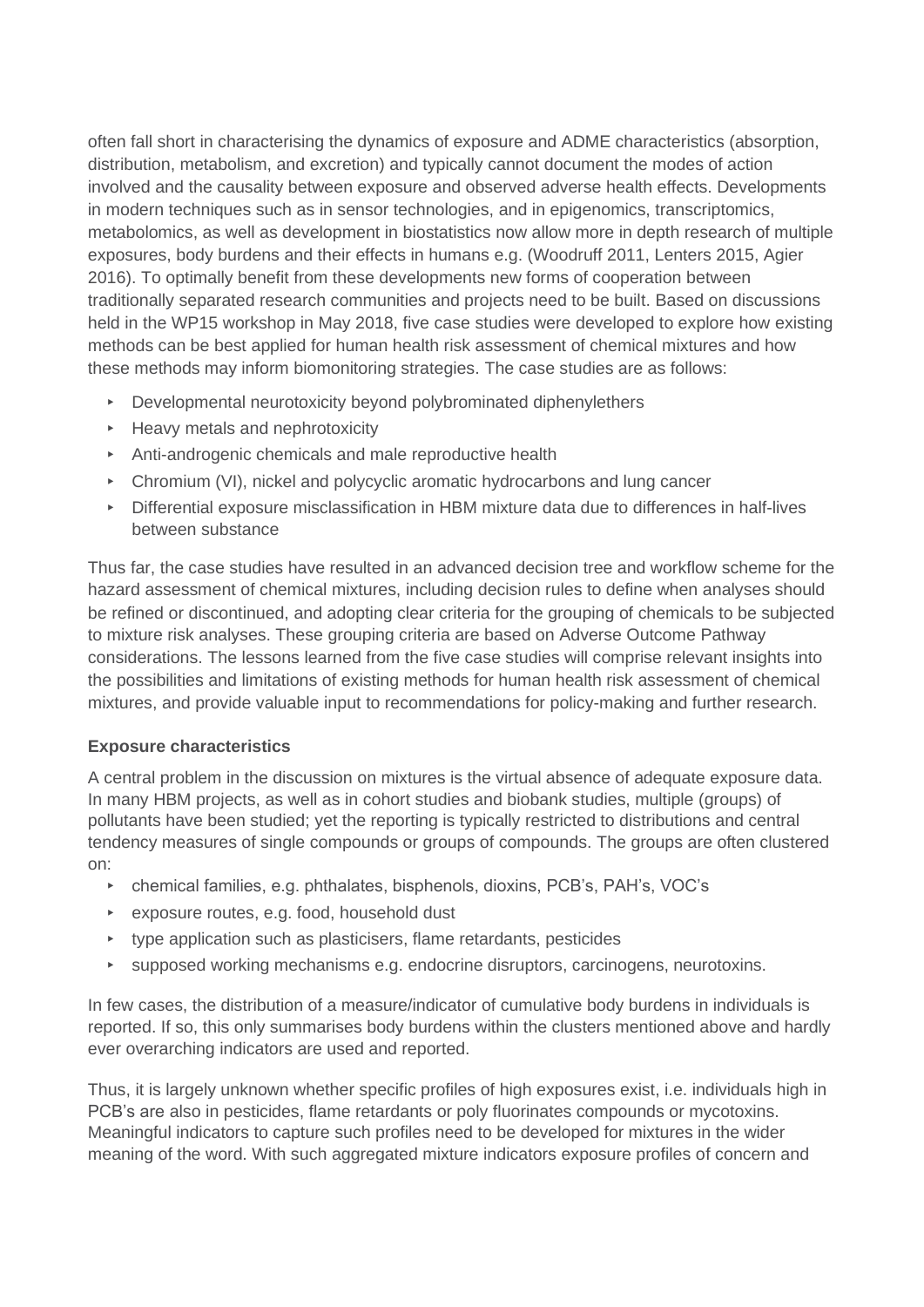often fall short in characterising the dynamics of exposure and ADME characteristics (absorption, distribution, metabolism, and excretion) and typically cannot document the modes of action involved and the causality between exposure and observed adverse health effects. Developments in modern techniques such as in sensor technologies, and in epigenomics, transcriptomics, metabolomics, as well as development in biostatistics now allow more in depth research of multiple exposures, body burdens and their effects in humans e.g. (Woodruff 2011, Lenters 2015, Agier 2016). To optimally benefit from these developments new forms of cooperation between traditionally separated research communities and projects need to be built. Based on discussions held in the WP15 workshop in May 2018, five case studies were developed to explore how existing methods can be best applied for human health risk assessment of chemical mixtures and how these methods may inform biomonitoring strategies. The case studies are as follows:

- ▸ Developmental neurotoxicity beyond polybrominated diphenylethers
- ▸ Heavy metals and nephrotoxicity
- ▸ Anti-androgenic chemicals and male reproductive health
- ▸ Chromium (VI), nickel and polycyclic aromatic hydrocarbons and lung cancer
- ▸ Differential exposure misclassification in HBM mixture data due to differences in half-lives between substance

Thus far, the case studies have resulted in an advanced decision tree and workflow scheme for the hazard assessment of chemical mixtures, including decision rules to define when analyses should be refined or discontinued, and adopting clear criteria for the grouping of chemicals to be subjected to mixture risk analyses. These grouping criteria are based on Adverse Outcome Pathway considerations. The lessons learned from the five case studies will comprise relevant insights into the possibilities and limitations of existing methods for human health risk assessment of chemical mixtures, and provide valuable input to recommendations for policy-making and further research.

### **Exposure characteristics**

A central problem in the discussion on mixtures is the virtual absence of adequate exposure data. In many HBM projects, as well as in cohort studies and biobank studies, multiple (groups) of pollutants have been studied; yet the reporting is typically restricted to distributions and central tendency measures of single compounds or groups of compounds. The groups are often clustered on:

- ▸ chemical families, e.g. phthalates, bisphenols, dioxins, PCB's, PAH's, VOC's
- ▸ exposure routes, e.g. food, household dust
- ▸ type application such as plasticisers, flame retardants, pesticides
- supposed working mechanisms e.g. endocrine disruptors, carcinogens, neurotoxins.

In few cases, the distribution of a measure/indicator of cumulative body burdens in individuals is reported. If so, this only summarises body burdens within the clusters mentioned above and hardly ever overarching indicators are used and reported.

Thus, it is largely unknown whether specific profiles of high exposures exist, i.e. individuals high in PCB's are also in pesticides, flame retardants or poly fluorinates compounds or mycotoxins. Meaningful indicators to capture such profiles need to be developed for mixtures in the wider meaning of the word. With such aggregated mixture indicators exposure profiles of concern and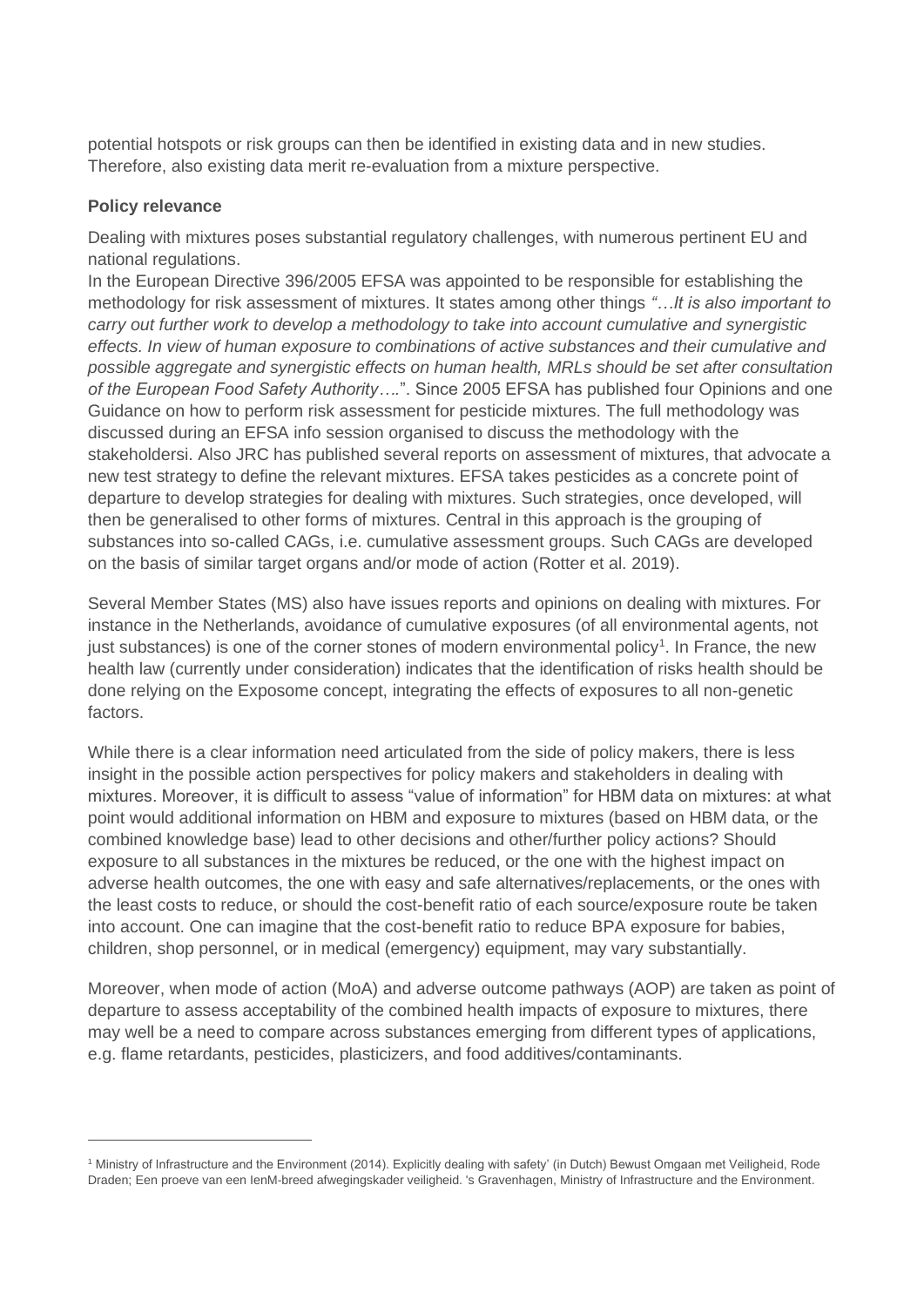potential hotspots or risk groups can then be identified in existing data and in new studies. Therefore, also existing data merit re-evaluation from a mixture perspective.

#### **Policy relevance**

Dealing with mixtures poses substantial regulatory challenges, with numerous pertinent EU and national regulations.

In the European Directive 396/2005 EFSA was appointed to be responsible for establishing the methodology for risk assessment of mixtures. It states among other things *"…It is also important to carry out further work to develop a methodology to take into account cumulative and synergistic effects. In view of human exposure to combinations of active substances and their cumulative and possible aggregate and synergistic effects on human health, MRLs should be set after consultation of the European Food Safety Authority….*". Since 2005 EFSA has published four Opinions and one Guidance on how to perform risk assessment for pesticide mixtures. The full methodology was discussed during an EFSA info session organised to discuss the methodology with the stakeholdersi. Also JRC has published several reports on assessment of mixtures, that advocate a new test strategy to define the relevant mixtures. EFSA takes pesticides as a concrete point of departure to develop strategies for dealing with mixtures. Such strategies, once developed, will then be generalised to other forms of mixtures. Central in this approach is the grouping of substances into so-called CAGs, i.e. cumulative assessment groups. Such CAGs are developed on the basis of similar target organs and/or mode of action (Rotter et al. 2019).

Several Member States (MS) also have issues reports and opinions on dealing with mixtures. For instance in the Netherlands, avoidance of cumulative exposures (of all environmental agents, not just substances) is one of the corner stones of modern environmental policy<sup>1</sup>. In France, the new health law (currently under consideration) indicates that the identification of risks health should be done relying on the Exposome concept, integrating the effects of exposures to all non-genetic factors.

While there is a clear information need articulated from the side of policy makers, there is less insight in the possible action perspectives for policy makers and stakeholders in dealing with mixtures. Moreover, it is difficult to assess "value of information" for HBM data on mixtures: at what point would additional information on HBM and exposure to mixtures (based on HBM data, or the combined knowledge base) lead to other decisions and other/further policy actions? Should exposure to all substances in the mixtures be reduced, or the one with the highest impact on adverse health outcomes, the one with easy and safe alternatives/replacements, or the ones with the least costs to reduce, or should the cost-benefit ratio of each source/exposure route be taken into account. One can imagine that the cost-benefit ratio to reduce BPA exposure for babies, children, shop personnel, or in medical (emergency) equipment, may vary substantially.

Moreover, when mode of action (MoA) and adverse outcome pathways (AOP) are taken as point of departure to assess acceptability of the combined health impacts of exposure to mixtures, there may well be a need to compare across substances emerging from different types of applications, e.g. flame retardants, pesticides, plasticizers, and food additives/contaminants.

<sup>1</sup> Ministry of Infrastructure and the Environment (2014). Explicitly dealing with safety' (in Dutch) Bewust Omgaan met Veiligheid, Rode Draden; Een proeve van een IenM-breed afwegingskader veiligheid. 's Gravenhagen, Ministry of Infrastructure and the Environment.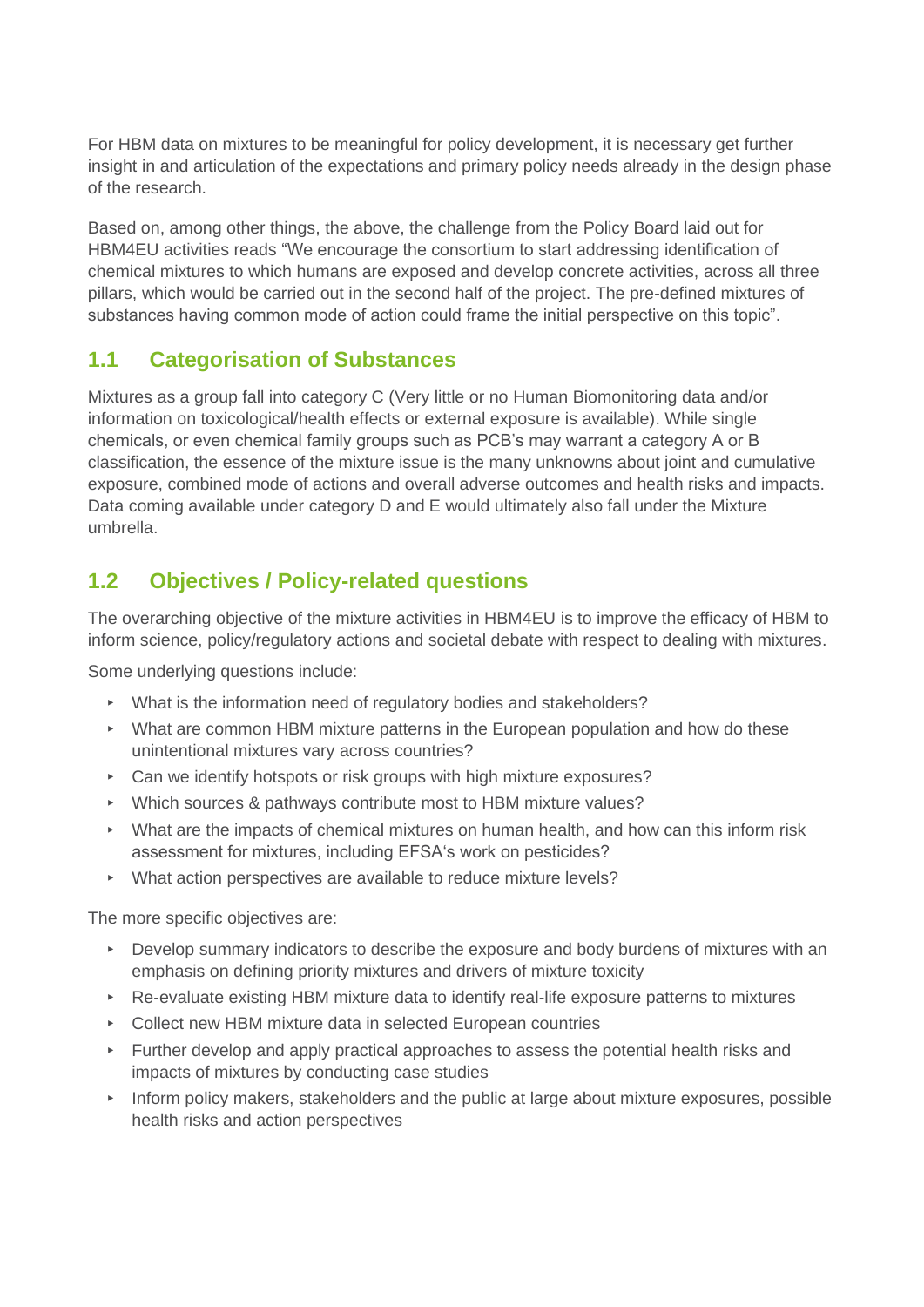For HBM data on mixtures to be meaningful for policy development, it is necessary get further insight in and articulation of the expectations and primary policy needs already in the design phase of the research.

Based on, among other things, the above, the challenge from the Policy Board laid out for HBM4EU activities reads "We encourage the consortium to start addressing identification of chemical mixtures to which humans are exposed and develop concrete activities, across all three pillars, which would be carried out in the second half of the project. The pre-defined mixtures of substances having common mode of action could frame the initial perspective on this topic".

### **1.1 Categorisation of Substances**

Mixtures as a group fall into category C (Very little or no Human Biomonitoring data and/or information on toxicological/health effects or external exposure is available). While single chemicals, or even chemical family groups such as PCB's may warrant a category A or B classification, the essence of the mixture issue is the many unknowns about joint and cumulative exposure, combined mode of actions and overall adverse outcomes and health risks and impacts. Data coming available under category D and E would ultimately also fall under the Mixture umbrella.

## **1.2 Objectives / Policy-related questions**

The overarching objective of the mixture activities in HBM4EU is to improve the efficacy of HBM to inform science, policy/regulatory actions and societal debate with respect to dealing with mixtures.

Some underlying questions include:

- ▸ What is the information need of regulatory bodies and stakeholders?
- ▸ What are common HBM mixture patterns in the European population and how do these unintentional mixtures vary across countries?
- ▸ Can we identify hotspots or risk groups with high mixture exposures?
- ▸ Which sources & pathways contribute most to HBM mixture values?
- ▸ What are the impacts of chemical mixtures on human health, and how can this inform risk assessment for mixtures, including EFSA's work on pesticides?
- ▸ What action perspectives are available to reduce mixture levels?

The more specific objectives are:

- ▸ Develop summary indicators to describe the exposure and body burdens of mixtures with an emphasis on defining priority mixtures and drivers of mixture toxicity
- ▸ Re-evaluate existing HBM mixture data to identify real-life exposure patterns to mixtures
- ▸ Collect new HBM mixture data in selected European countries
- ▸ Further develop and apply practical approaches to assess the potential health risks and impacts of mixtures by conducting case studies
- ▸ Inform policy makers, stakeholders and the public at large about mixture exposures, possible health risks and action perspectives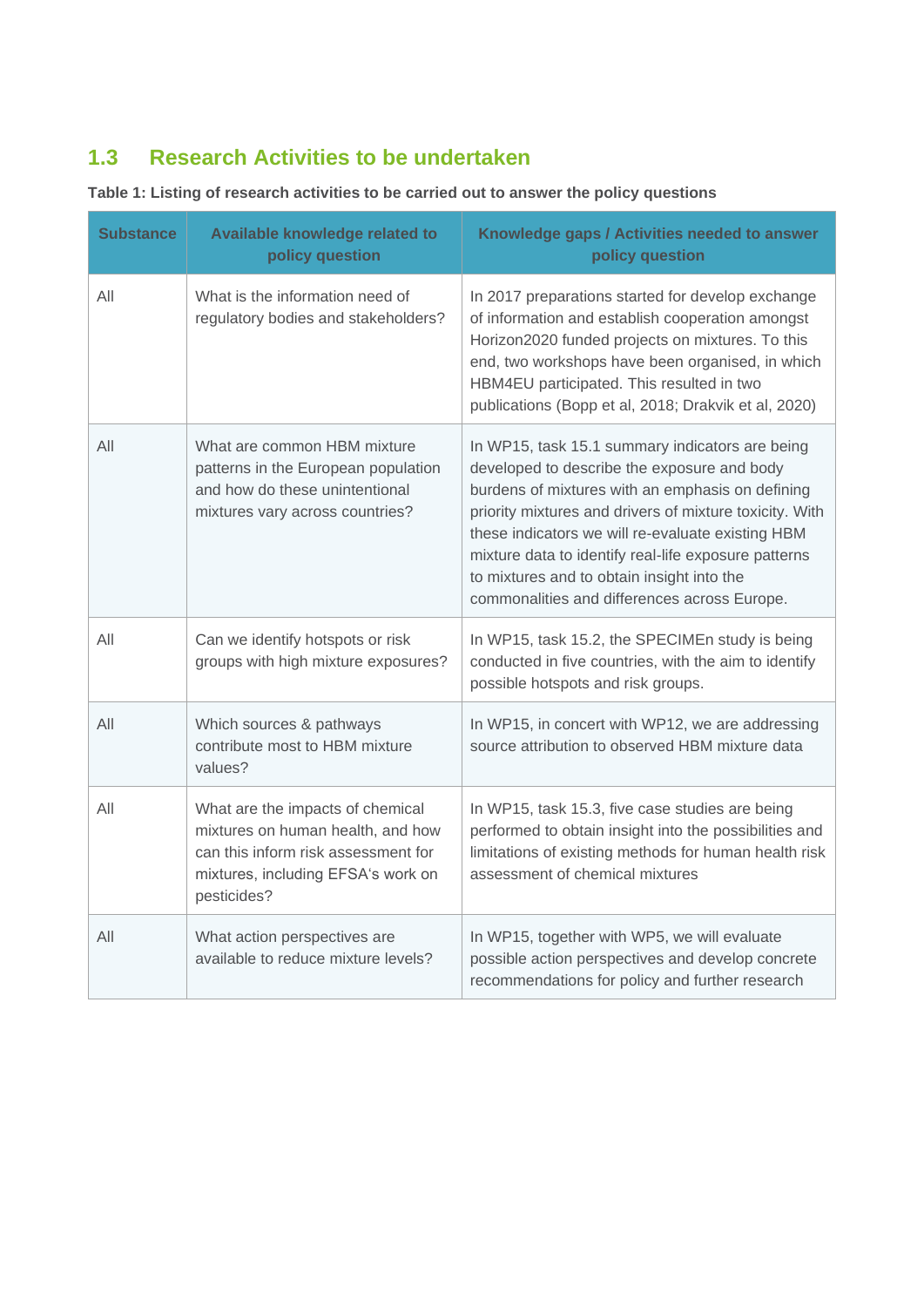# **1.3 Research Activities to be undertaken**

**Table 1: Listing of research activities to be carried out to answer the policy questions** 

| <b>Substance</b> | Available knowledge related to<br>policy question                                                                                                                 | Knowledge gaps / Activities needed to answer<br>policy question                                                                                                                                                                                                                                                                                                                                                          |
|------------------|-------------------------------------------------------------------------------------------------------------------------------------------------------------------|--------------------------------------------------------------------------------------------------------------------------------------------------------------------------------------------------------------------------------------------------------------------------------------------------------------------------------------------------------------------------------------------------------------------------|
| All              | What is the information need of<br>regulatory bodies and stakeholders?                                                                                            | In 2017 preparations started for develop exchange<br>of information and establish cooperation amongst<br>Horizon2020 funded projects on mixtures. To this<br>end, two workshops have been organised, in which<br>HBM4EU participated. This resulted in two<br>publications (Bopp et al, 2018; Drakvik et al, 2020)                                                                                                       |
| All              | What are common HBM mixture<br>patterns in the European population<br>and how do these unintentional<br>mixtures vary across countries?                           | In WP15, task 15.1 summary indicators are being<br>developed to describe the exposure and body<br>burdens of mixtures with an emphasis on defining<br>priority mixtures and drivers of mixture toxicity. With<br>these indicators we will re-evaluate existing HBM<br>mixture data to identify real-life exposure patterns<br>to mixtures and to obtain insight into the<br>commonalities and differences across Europe. |
| All              | Can we identify hotspots or risk<br>groups with high mixture exposures?                                                                                           | In WP15, task 15.2, the SPECIMEn study is being<br>conducted in five countries, with the aim to identify<br>possible hotspots and risk groups.                                                                                                                                                                                                                                                                           |
| All              | Which sources & pathways<br>contribute most to HBM mixture<br>values?                                                                                             | In WP15, in concert with WP12, we are addressing<br>source attribution to observed HBM mixture data                                                                                                                                                                                                                                                                                                                      |
| All              | What are the impacts of chemical<br>mixtures on human health, and how<br>can this inform risk assessment for<br>mixtures, including EFSA's work on<br>pesticides? | In WP15, task 15.3, five case studies are being<br>performed to obtain insight into the possibilities and<br>limitations of existing methods for human health risk<br>assessment of chemical mixtures                                                                                                                                                                                                                    |
| All              | What action perspectives are<br>available to reduce mixture levels?                                                                                               | In WP15, together with WP5, we will evaluate<br>possible action perspectives and develop concrete<br>recommendations for policy and further research                                                                                                                                                                                                                                                                     |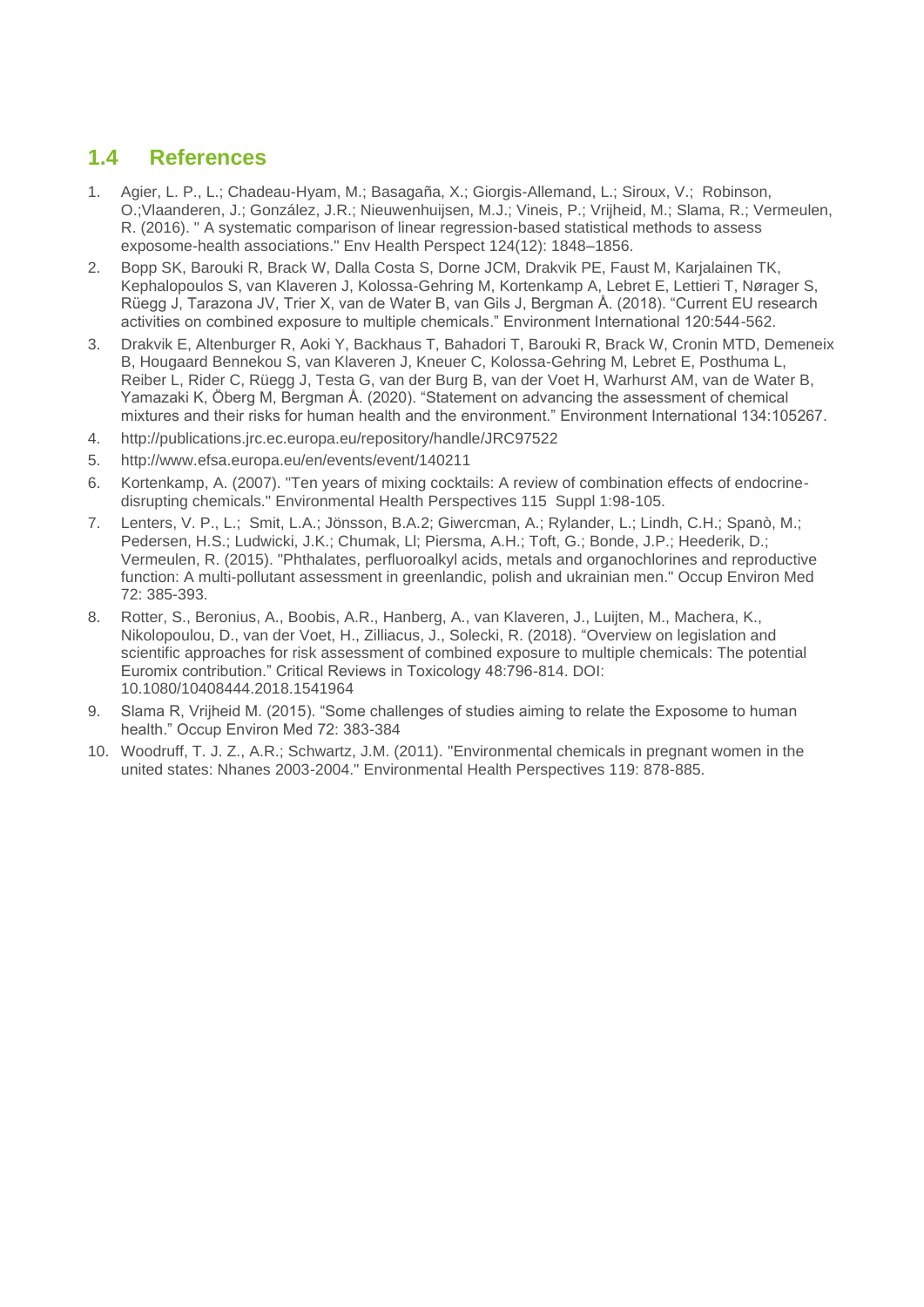### **1.4 References**

- 1. Agier, L. P., L.; Chadeau-Hyam, M.; Basagaña, X.; Giorgis-Allemand, L.; Siroux, V.; Robinson, O.;Vlaanderen, J.; González, J.R.; Nieuwenhuijsen, M.J.; Vineis, P.; Vrijheid, M.; Slama, R.; Vermeulen, R. (2016). " A systematic comparison of linear regression-based statistical methods to assess exposome-health associations." Env Health Perspect 124(12): 1848–1856.
- 2. Bopp SK, Barouki R, Brack W, Dalla Costa S, Dorne JCM, Drakvik PE, Faust M, Karjalainen TK, Kephalopoulos S, van Klaveren J, Kolossa-Gehring M, Kortenkamp A, Lebret E, Lettieri T, Nørager S, Rüegg J, Tarazona JV, Trier X, van de Water B, van Gils J, Bergman Å. (2018). "Current EU research activities on combined exposure to multiple chemicals." Environment International 120:544-562.
- 3. Drakvik E, Altenburger R, Aoki Y, Backhaus T, Bahadori T, Barouki R, Brack W, Cronin MTD, Demeneix B, Hougaard Bennekou S, van Klaveren J, Kneuer C, Kolossa-Gehring M, Lebret E, Posthuma L, Reiber L, Rider C, Rüegg J, Testa G, van der Burg B, van der Voet H, Warhurst AM, van de Water B, Yamazaki K, Öberg M, Bergman Å. (2020). "Statement on advancing the assessment of chemical mixtures and their risks for human health and the environment." Environment International 134:105267.
- 4. http://publications.jrc.ec.europa.eu/repository/handle/JRC97522
- 5. http://www.efsa.europa.eu/en/events/event/140211
- 6. Kortenkamp, A. (2007). "Ten years of mixing cocktails: A review of combination effects of endocrinedisrupting chemicals." Environmental Health Perspectives 115 Suppl 1:98-105.
- 7. Lenters, V. P., L.; Smit, L.A.; Jönsson, B.A.2; Giwercman, A.; Rylander, L.; Lindh, C.H.; Spanò, M.; Pedersen, H.S.; Ludwicki, J.K.; Chumak, Ll; Piersma, A.H.; Toft, G.; Bonde, J.P.; Heederik, D.; Vermeulen, R. (2015). "Phthalates, perfluoroalkyl acids, metals and organochlorines and reproductive function: A multi-pollutant assessment in greenlandic, polish and ukrainian men." Occup Environ Med 72: 385-393.
- 8. Rotter, S., Beronius, A., Boobis, A.R., Hanberg, A., van Klaveren, J., Luijten, M., Machera, K., Nikolopoulou, D., van der Voet, H., Zilliacus, J., Solecki, R. (2018). "Overview on legislation and scientific approaches for risk assessment of combined exposure to multiple chemicals: The potential Euromix contribution." Critical Reviews in Toxicology 48:796-814. DOI: 10.1080/10408444.2018.1541964
- 9. Slama R, Vrijheid M. (2015). "Some challenges of studies aiming to relate the Exposome to human health." Occup Environ Med 72: 383-384
- 10. Woodruff, T. J. Z., A.R.; Schwartz, J.M. (2011). "Environmental chemicals in pregnant women in the united states: Nhanes 2003-2004." Environmental Health Perspectives 119: 878-885.